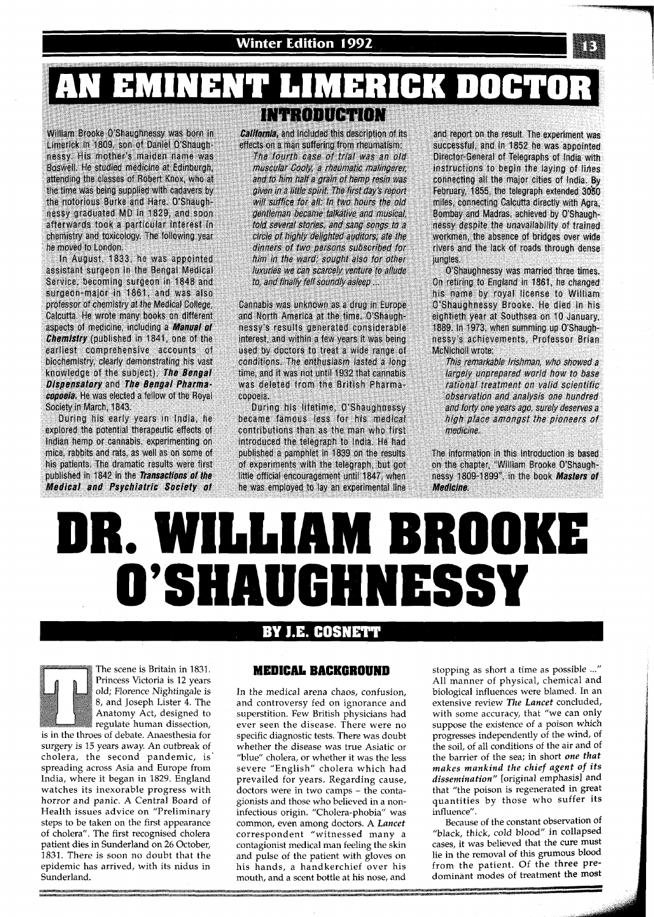#### **Winter Edition 1992**

## EVINERVI ERICK DOCTO

William Brooke O'Shaughnessy was born in Limerick in 1809, son of Daniel O'Shaughnessy. His mother's maiden name was Boswell. He studied medicine at Edinburgh, attending the classes of Robert Knox, who at the time was being supplied with cadavers by the notorious Burke and Hare. O'Shaughnessy graduated MD in 1829, and soon afterwards took a particular interest in chemistry and toxicology. The following year he moved to London.

In August, 1833, he was appointed assistant surgeon in the Bengal Medical Service, becoming surgeon in 1848 and surgeon-major in 1861, and was also professor of chemistry at the Medical College, Calcutta. He wrote many books on different aspects of medicine, including a Manual of **Chemistry** (published in 1841, one of the earliest comprehensive accounts of biochemistry, clearly demonstrating his vast knowledge of the subject), The Bengal **Dispensatory and The Bengal Pharma**copoela. He was elected a fellow of the Royal Society in March, 1843.

During his early years in India, he explored the potential therapeutic effects of Indian hemp or cannabis, experimenting on mice, rabbits and rats, as well as on some of his patients. The dramatic results were first published in 1842 in the Transactions of the Medical and Psychiatric Society of

### IN TRODUCTION

**California**, and included this description of its effects on a man suffering from rheumatism: The fourth case of trial was an old muscular Cooly, a rheumatic malingerer, and to him half a grain of hemp resin was given in a little spirit. The first day's report will suffice for all: In two hours the old gentleman became talkative and musical. told several stories, and sang songs to a circle of highly delighted auditors; ate the dinners of two persons subscribed for him in the ward; sought also for other luxuries we can scarcely venture to allude to, and finally fell soundly asleep ...

Cannabis was unknown as a drug in Europe and North America at the time. O'Shaughnessy's results generated considerable interest, and within a few years it was being used by doctors to treat a wide range of conditions. The enthusiasm lasted a long time, and it was not until 1932 that cannabis was deleted from the British Pharmacopoeia.

During his lifetime, O'Shaughnessy became famous less for his medical contributions than as the man who first introduced the telegraph to India. He had published a pamphlet in 1839 on the results of experiments with the telegraph, but got little official encouragement until 1847, when he was employed to lay an experimental line

and report on the result. The experiment was successful, and in 1852 he was appointed Director-General of Telegraphs of India with instructions to begin the laying of lines connecting all the major cities of India. By February, 1855, the telegraph extended 3050 miles, connecting Calcutta directly with Agra. Bombay and Madras, achieved by O'Shaughnessy despite the unavailability of trained workmen, the absence of bridges over wide rivers and the lack of roads through dense jungles.

O'Shaughnessy was married three times. On retiring to England in 1861, he changed his name by royal license to William O'Shaughnessy Brooke. He died in his eightieth year at Southsea on 10 January, 1889. In 1973, when summing up O'Shaughnessy's achievements, Professor Brian McNicholl wrote:

This remarkable Irishman, who showed a largely unprepared world how to base rational treatment on valid scientific observation and analysis one hundred and forty one years ago, surely deserves a high place amongst the pioneers of medicine.

The information in this Introduction is based on the chapter, "William Brooke O'Shaughnessy 1809-1899", in the book Masters of Medicine.

# DR. WILLIAM BROOKE **O'SHAUGHNESSY**

#### **BY J.E. COSNETT**



The scene is Britain in 1831. Princess Victoria is 12 years old; Florence Nightingale is 8, and Joseph Lister 4. The Anatomy Act, designed to

regulate human dissection, is in the throes of debate. Anaesthesia for surgery is 15 years away. An outbreak of cholera, the second pandemic, is spreading across Asia and Europe from India, where it began in 1829. England watches its inexorable progress with horror and panic. A Central Board of Health issues advice on "Preliminary steps to be taken on the first appearance of cholera". The first recognised cholera patient dies in Sunderland on 26 October, 1831. There is soon no doubt that the epidemic has arrived, with its nidus in Sunderland.

#### **MEDICAL BACKGROUND**

In the medical arena chaos, confusion, and controversy fed on ignorance and superstition. Few British physicians had ever seen the disease. There were no specific diagnostic tests. There was doubt whether the disease was true Asiatic or "blue" cholera, or whether it was the less severe "English" cholera which had prevailed for years. Regarding cause, doctors were in two camps - the contagionists and those who believed in a noninfectious origin. "Cholera-phobia" was common, even among doctors. A Lancet correspondent "witnessed many a contagionist medical man feeling the skin and pulse of the patient with gloves on his hands, a handkerchief over his mouth, and a scent bottle at his nose, and

stopping as short a time as possible ..." All manner of physical, chemical and biological influences were blamed. In an extensive review The Lancet concluded, with some accuracy, that "we can only suppose the existence of a poison which progresses independently of the wind, of the soil, of all conditions of the air and of the barrier of the sea; in short one that makes mankind the chief agent of its dissemination" [original emphasis] and that "the poison is regenerated in great quantities by those who suffer its influence".

Because of the constant observation of "black, thick, cold blood" in collapsed cases, it was believed that the cure must lie in the removal of this grumous blood from the patient. Of the three predominant modes of treatment the most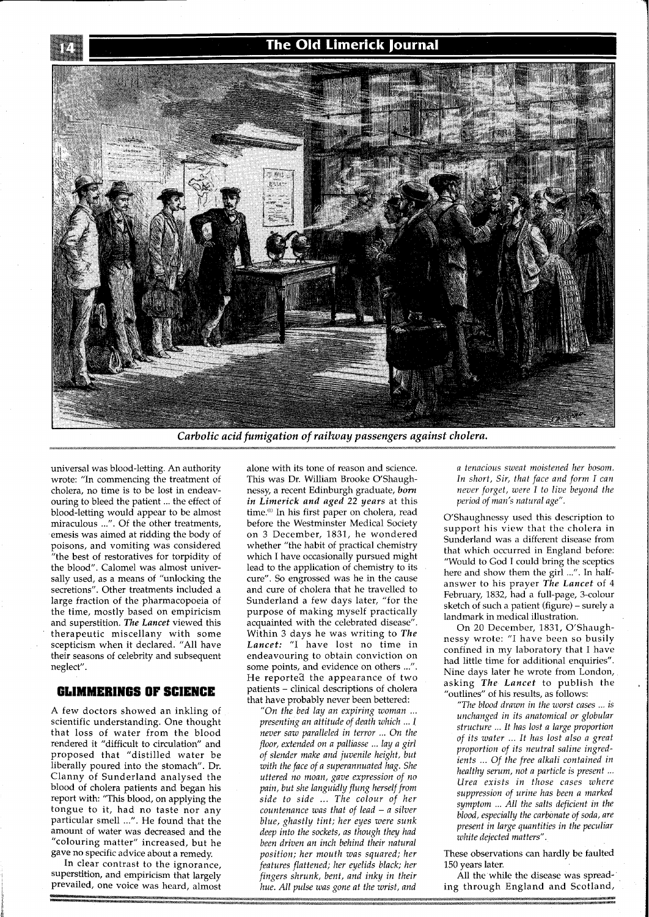#### **The Old Limerick Journal**



*Carbolic acid fumigation of railway passengers against cholera.* 

universal was blood-letting. An authority wrote: "In commencing the treatment of cholera, no time is to be lost in endeavouring to bleed the patient ... the effect of blood-letting would appear to be almost miraculous ...". Of the other treatments, emesis was aimed at ridding the body of poisons, and vomiting was considered "the best of restoratives for torpidity of the blood". Calomel was almost universally used, as a means of "unlocking the secretions". Other treatments included a large fraction of the pharmacopoeia of the time, mostly based on empiricism and superstition. *The Lancet* viewed this therapeutic miscellany with some scepticism when it declared. "All have their seasons of celebrity and subsequent neglect".

#### **GLIMMERINGS OF SCIENCE**

A few doctors showed an inkling of scientific understanding. One thought that loss of water from the blood rendered it "difficult to circulation" and proposed that "distilled water be liberally poured into the stomach". Dr. Clanny of Sunderland analysed the blood of cholera patients and began his report with: "This blood, on applying the tongue to it, had no taste nor any particular smell ...". He found that the amount of water was decreased and the "colouring matter" increased, but he gave no specific advice about a remedy.

In clear contrast to the ignorance, superstition, and empiricism that largely prevailed, one voice was heard, almost

alone with its tone of reason and science. This was Dr. William Brooke O'Shaughnessy, a recent Edinburgh graduate, born *in Limerick and aged 22 years* at this time."' In his first paper on cholera, read before the Westminster Medical Society on 3 December, 1831, he wondered whether "the habit of practical chemistry which I have occasionally pursued might lead to the application of chemistry to its cure". So engrossed was he in the cause and cure of cholera that he travelled to Sunderland a few davs later. "for the purpose of making myself practically acquainted with the celebrated disease". Within **3** days he was writing to *The Lancet:* "I have lost no time in endeavouring to obtain conviction on some points, and evidence on others ...". He reported the appearance of two patients - clinical descriptions of cholera that have probably never been bettered:

*"On the bed lay an expiring woman* ... *presenting an attitude of death which* ... *I never saw paralleled in terror* ... *On the floor, extended on a palliasse* ... *lay a girl of slender make and juvenile height, but with the face of a superannuated hag. She uttered no moan, gave expression of no pain, but she languidly flung herself from side to side* ... *The colour of her countenance was that of lead - a silver blue, ghastly tint; her eyes were sunk deep into the sockets, as though they had been driven an inch behind their natural position; her mouth was squared; her features flattened; her eyelids black; her fingers shrunk, bent, and inky in their hue. All pulse was gone at the wrist, and* 

*a tenacious sweat moistened her bosom. In short, Sir, that face and form I can never forget, were I to live beyond the period of man's natural age".* 

O'Shaughnessy used this description to support his view that the cholera in Sunderland was a different disease from that which occurred in England before: "Would to God I could bring the sceptics here and show them the girl ...". In halfanswer to his prayer *The Lancet* of *4*  February, 1832, had a full-page, 3-colour sketch of such a patient (figure) - surely a landmark in medical illustration.

On 20 December, 1831, O'Shaughnessy wrote: "I have been so busily confined in my laboratory that I have had little time for additional enquiries". Nine days later he wrote from London, asking *The Lancet* to publish the "outlines" of his results, as follows:

*"The blood drawn in the worst cases* ... *is unchanged in its anatomical or globular structure* ... *It has lost a large proportion of its water* ... *It has lost also a great proportion of its neutral saline ingredients* ... *Of the free alkali contained in healthy serum, not a particle is present* ... *Urea exists in those cases where suppression of urine has been a marked symptom* ... *All the salts deficient in the blood, especially the carbonate of soda, are present in large quantities in the peculiar white dejected matters".* 

These observations can hardly be faulted 150 years later.

All the while the disease was spreading through England and Scotland,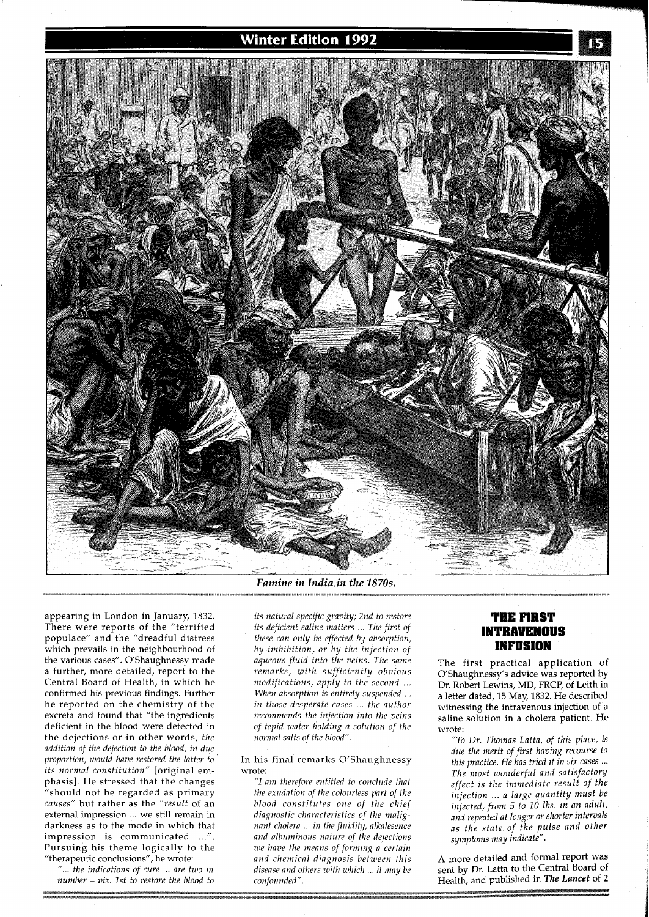

*Famine in India,in the 1870s.* 

appearing in London in January, 1832. There were reports of the "terrified populace" and the "dreadful distress which prevails in the neighbourhood of the various cases". O'Shaughnessy made a further, more detailed, report to the Central Board of Health, in which he confirmed his previous findings. Further he reported on the chemistry of the excreta and found that "the ingredients deficient in the blood were detected in the dejections or in other words, *the addition of the dejection to the blood, in due proportion, would have restored the latter to* ' *its normal constitution"* [original emphasis]. He stressed that the changes "should not be regarded as primary *causes"* but rather as the *"result* of an external impression ... we still remain in darkness as to the mode in which that impression is communicated ...". Pursuing his theme logically to the "therapeutic conclusions", he wrote:

" ... *the indications of cure* ... *are two in number* - *viz. 1st to restore the blood to*  *its natural specific gravity; 2nd to restore its deficient saline matters* ... *The first of these can only be effected by absorption, by imbibition, or by the injection of aqueous fluid into the veins. The same remarks, with sufficiently obvious modifications, apply to the second* ... *When absorption* is *entirely suspended* ... *in those desperate cases* ... *the author recommends the injection into the veins of tepid water holding a solution of the normal salts of the blood".* 

In his final remarks O'Shaughnessy wrote:

"I *am therefore entitled to conclude that the exudation of the colourless part of the blood constitutes one of the chief diagnostic characteristics of the malignant cholera ... in the fluidity, alkalesence and albuminous nature of the dejections we have the means of forming a certain and chemical diagnosis between this disease and others with which* ... *it may be confounded".* 

#### **THE FIRST INTRAVENOUS INFUSION**

The first practical application of O'Shaughnessy's advice was reported by Dr. Robert Lewins, MD, FRCP, of Leith in a letter dated, 15 May, 1832. He described witnessing the intravenous injection of a saline solution in a cholera patient. He wrote:

*"To Dr. Thomas Latta, of this place, is*  due the merit of first having recourse to *this practice. He has tried it in six cases* ... *The most wonderful and satisfactory effect is the immediate result of the injection* ... *a large quantity must be injected, from* 5 *to 10 lbs. in an adult, and repeated at longer or shorter intewals as the state of the pulse and other symptoms may indicate".* 

A more detailed and formal report was sent by Dr. Latta to the Central Board of Health, and published in The Lancet of 2